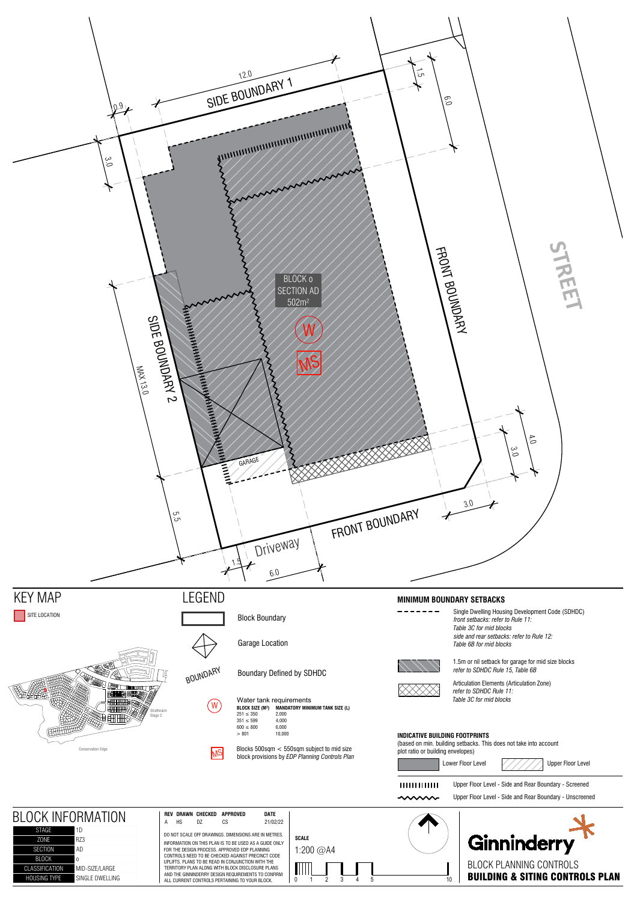